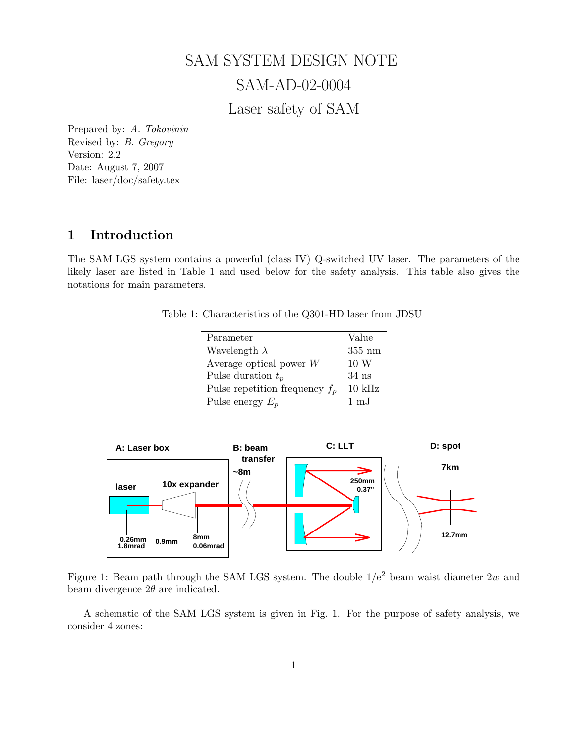# SAM SYSTEM DESIGN NOTE SAM-AD-02-0004 Laser safety of SAM

Prepared by: A. Tokovinin Revised by: B. Gregory Version: 2.2 Date: August 7, 2007 File: laser/doc/safety.tex

# 1 Introduction

The SAM LGS system contains a powerful (class IV) Q-switched UV laser. The parameters of the likely laser are listed in Table 1 and used below for the safety analysis. This table also gives the notations for main parameters.

Table 1: Characteristics of the Q301-HD laser from JDSU

| Parameter                        | Value            |
|----------------------------------|------------------|
| Wavelength $\lambda$             | $355 \text{ nm}$ |
| Average optical power $W$        | 10 W             |
| Pulse duration $t_p$             | $34$ ns          |
| Pulse repetition frequency $f_p$ | $10$ kHz         |
| Pulse energy $E_p$               | $1 \text{ mJ}$   |



Figure 1: Beam path through the SAM LGS system. The double  $1/e^2$  beam waist diameter 2w and beam divergence  $2\theta$  are indicated.

A schematic of the SAM LGS system is given in Fig. 1. For the purpose of safety analysis, we consider 4 zones: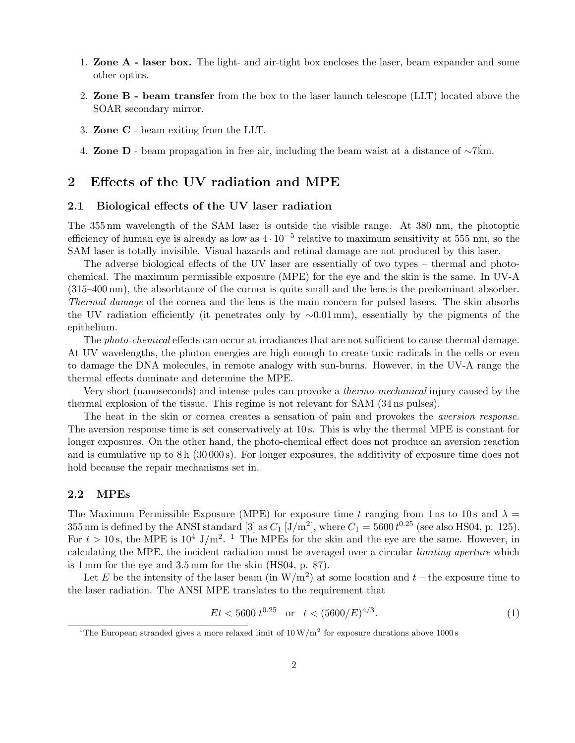- 1. Zone A laser box. The light- and air-tight box encloses the laser, beam expander and some other optics.
- 2. Zone B beam transfer from the box to the laser launch telescope (LLT) located above the SOAR secondary mirror.
- 3. Zone C beam exiting from the LLT.
- 4. Zone D beam propagation in free air, including the beam waist at a distance of  $\sim$ 7 $\dot{\text{km}}$ .

## 2 Effects of the UV radiation and MPE

#### 2.1 Biological effects of the UV laser radiation

The 355 nm wavelength of the SAM laser is outside the visible range. At 380 nm, the photoptic efficiency of human eye is already as low as  $4 \cdot 10^{-5}$  relative to maximum sensitivity at 555 nm, so the SAM laser is totally invisible. Visual hazards and retinal damage are not produced by this laser.

The adverse biological effects of the UV laser are essentially of two types – thermal and photochemical. The maximum permissible exposure (MPE) for the eye and the skin is the same. In UV-A (315–400 nm), the absorbtance of the cornea is quite small and the lens is the predominant absorber. Thermal damage of the cornea and the lens is the main concern for pulsed lasers. The skin absorbs the UV radiation efficiently (it penetrates only by ∼0.01 mm), essentially by the pigments of the epithelium.

The *photo-chemical* effects can occur at irradiances that are not sufficient to cause thermal damage. At UV wavelengths, the photon energies are high enough to create toxic radicals in the cells or even to damage the DNA molecules, in remote analogy with sun-burns. However, in the UV-A range the thermal effects dominate and determine the MPE.

Very short (nanoseconds) and intense pules can provoke a thermo-mechanical injury caused by the thermal explosion of the tissue. This regime is not relevant for SAM (34 ns pulses).

The heat in the skin or cornea creates a sensation of pain and provokes the *aversion response*. The aversion response time is set conservatively at 10 s. This is why the thermal MPE is constant for longer exposures. On the other hand, the photo-chemical effect does not produce an aversion reaction and is cumulative up to 8 h (30 000 s). For longer exposures, the additivity of exposure time does not hold because the repair mechanisms set in.

#### 2.2 MPEs

The Maximum Permissible Exposure (MPE) for exposure time t ranging from 1 ns to 10 s and  $\lambda =$ 355 nm is defined by the ANSI standard [3] as  $C_1$  [J/m<sup>2</sup>], where  $C_1 = 5600 t^{0.25}$  (see also HS04, p. 125). For  $t > 10$  s, the MPE is  $10^4$  J/m<sup>2</sup>. <sup>1</sup> The MPEs for the skin and the eye are the same. However, in calculating the MPE, the incident radiation must be averaged over a circular limiting aperture which is 1 mm for the eye and 3.5 mm for the skin (HS04, p. 87).

Let E be the intensity of the laser beam (in  $W/m<sup>2</sup>$ ) at some location and  $t$  – the exposure time to the laser radiation. The ANSI MPE translates to the requirement that

$$
Et < 5600 \, t^{0.25} \quad \text{or} \quad t < (5600/E)^{4/3}.\tag{1}
$$

<sup>&</sup>lt;sup>1</sup>The European stranded gives a more relaxed limit of  $10 \,\mathrm{W/m}^2$  for exposure durations above 1000 s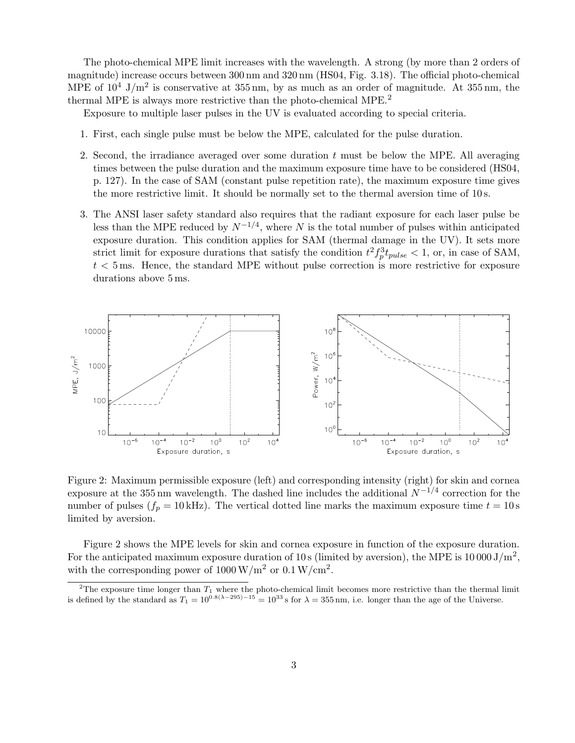The photo-chemical MPE limit increases with the wavelength. A strong (by more than 2 orders of magnitude) increase occurs between 300 nm and 320 nm (HS04, Fig. 3.18). The official photo-chemical MPE of  $10^4$  J/m<sup>2</sup> is conservative at  $355 \,\mathrm{nm}$ , by as much as an order of magnitude. At  $355 \,\mathrm{nm}$ , the thermal MPE is always more restrictive than the photo-chemical MPE.<sup>2</sup>

Exposure to multiple laser pulses in the UV is evaluated according to special criteria.

- 1. First, each single pulse must be below the MPE, calculated for the pulse duration.
- 2. Second, the irradiance averaged over some duration  $t$  must be below the MPE. All averaging times between the pulse duration and the maximum exposure time have to be considered (HS04, p. 127). In the case of SAM (constant pulse repetition rate), the maximum exposure time gives the more restrictive limit. It should be normally set to the thermal aversion time of 10 s.
- 3. The ANSI laser safety standard also requires that the radiant exposure for each laser pulse be less than the MPE reduced by  $N^{-1/4}$ , where N is the total number of pulses within anticipated exposure duration. This condition applies for SAM (thermal damage in the UV). It sets more strict limit for exposure durations that satisfy the condition  $t^2 f_p^3 t_{pulse} < 1$ , or, in case of SAM,  $t < 5$  ms. Hence, the standard MPE without pulse correction is more restrictive for exposure durations above 5 ms.



Figure 2: Maximum permissible exposure (left) and corresponding intensity (right) for skin and cornea exposure at the 355 nm wavelength. The dashed line includes the additional  $N^{-1/4}$  correction for the number of pulses ( $f_p = 10 \text{ kHz}$ ). The vertical dotted line marks the maximum exposure time  $t = 10 \text{ s}$ limited by aversion.

Figure 2 shows the MPE levels for skin and cornea exposure in function of the exposure duration. For the anticipated maximum exposure duration of 10 s (limited by aversion), the MPE is  $10000 \text{ J/m}^2$ , with the corresponding power of  $1000 \,\mathrm{W/m^2}$  or  $0.1 \,\mathrm{W/cm^2}$ .

<sup>&</sup>lt;sup>2</sup>The exposure time longer than  $T_1$  where the photo-chemical limit becomes more restrictive than the thermal limit is defined by the standard as  $T_1 = 10^{0.8(\lambda - 295) - 15} = 10^{33}$  s for  $\lambda = 355$  nm, i.e. longer than the age of the Universe.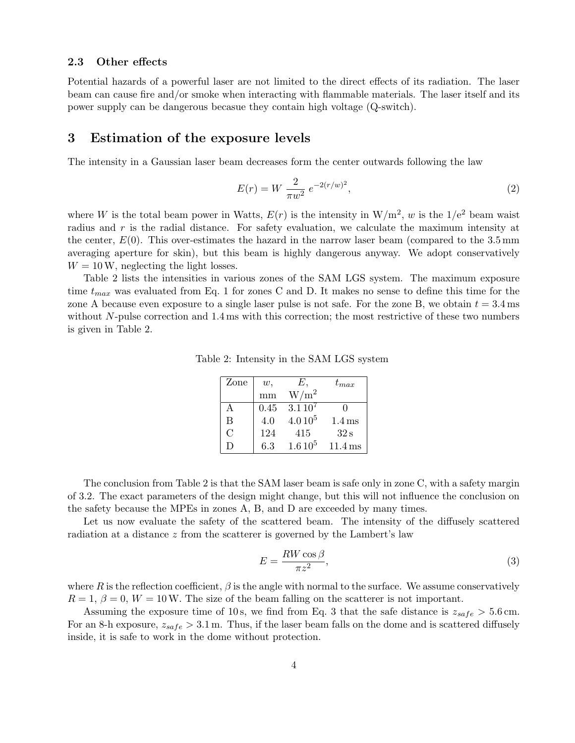#### 2.3 Other effects

Potential hazards of a powerful laser are not limited to the direct effects of its radiation. The laser beam can cause fire and/or smoke when interacting with flammable materials. The laser itself and its power supply can be dangerous becasue they contain high voltage (Q-switch).

## 3 Estimation of the exposure levels

The intensity in a Gaussian laser beam decreases form the center outwards following the law

$$
E(r) = W \frac{2}{\pi w^2} e^{-2(r/w)^2},
$$
\n(2)

where W is the total beam power in Watts,  $E(r)$  is the intensity in  $W/m^2$ , w is the  $1/e^2$  beam waist radius and r is the radial distance. For safety evaluation, we calculate the maximum intensity at the center,  $E(0)$ . This over-estimates the hazard in the narrow laser beam (compared to the 3.5 mm) averaging aperture for skin), but this beam is highly dangerous anyway. We adopt conservatively  $W = 10$  W, neglecting the light losses.

Table 2 lists the intensities in various zones of the SAM LGS system. The maximum exposure time  $t_{max}$  was evaluated from Eq. 1 for zones C and D. It makes no sense to define this time for the zone A because even exposure to a single laser pulse is not safe. For the zone B, we obtain  $t = 3.4$  ms without  $N$ -pulse correction and 1.4 ms with this correction; the most restrictive of these two numbers is given in Table 2.

| Zone | w,   | Е,          | $t_{max}$            |
|------|------|-------------|----------------------|
|      | mm   | $W/m^2$     |                      |
| А    | 0.45 | $3.110^{7}$ |                      |
| B    | 4.0  | $4.0\,10^5$ | $1.4 \,\mathrm{ms}$  |
| C    | 124  | 415         | 32 s                 |
| Ð    | 6.3  | $1.610^{5}$ | $11.4 \,\mathrm{ms}$ |

Table 2: Intensity in the SAM LGS system

The conclusion from Table 2 is that the SAM laser beam is safe only in zone C, with a safety margin of 3.2. The exact parameters of the design might change, but this will not influence the conclusion on the safety because the MPEs in zones A, B, and D are exceeded by many times.

Let us now evaluate the safety of the scattered beam. The intensity of the diffusely scattered radiation at a distance z from the scatterer is governed by the Lambert's law

$$
E = \frac{RW \cos \beta}{\pi z^2},\tag{3}
$$

where R is the reflection coefficient,  $\beta$  is the angle with normal to the surface. We assume conservatively  $R = 1, \beta = 0, W = 10$ W. The size of the beam falling on the scatterer is not important.

Assuming the exposure time of 10s, we find from Eq. 3 that the safe distance is  $z_{safe} > 5.6$  cm. For an 8-h exposure,  $z_{safe} > 3.1$  m. Thus, if the laser beam falls on the dome and is scattered diffusely inside, it is safe to work in the dome without protection.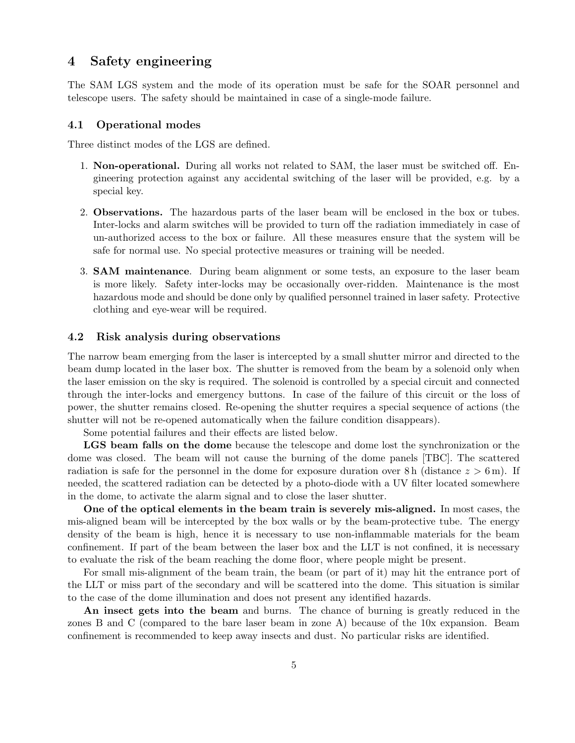## 4 Safety engineering

The SAM LGS system and the mode of its operation must be safe for the SOAR personnel and telescope users. The safety should be maintained in case of a single-mode failure.

#### 4.1 Operational modes

Three distinct modes of the LGS are defined.

- 1. Non-operational. During all works not related to SAM, the laser must be switched off. Engineering protection against any accidental switching of the laser will be provided, e.g. by a special key.
- 2. Observations. The hazardous parts of the laser beam will be enclosed in the box or tubes. Inter-locks and alarm switches will be provided to turn off the radiation immediately in case of un-authorized access to the box or failure. All these measures ensure that the system will be safe for normal use. No special protective measures or training will be needed.
- 3. SAM maintenance. During beam alignment or some tests, an exposure to the laser beam is more likely. Safety inter-locks may be occasionally over-ridden. Maintenance is the most hazardous mode and should be done only by qualified personnel trained in laser safety. Protective clothing and eye-wear will be required.

## 4.2 Risk analysis during observations

The narrow beam emerging from the laser is intercepted by a small shutter mirror and directed to the beam dump located in the laser box. The shutter is removed from the beam by a solenoid only when the laser emission on the sky is required. The solenoid is controlled by a special circuit and connected through the inter-locks and emergency buttons. In case of the failure of this circuit or the loss of power, the shutter remains closed. Re-opening the shutter requires a special sequence of actions (the shutter will not be re-opened automatically when the failure condition disappears).

Some potential failures and their effects are listed below.

LGS beam falls on the dome because the telescope and dome lost the synchronization or the dome was closed. The beam will not cause the burning of the dome panels [TBC]. The scattered radiation is safe for the personnel in the dome for exposure duration over 8 h (distance  $z > 6$  m). If needed, the scattered radiation can be detected by a photo-diode with a UV filter located somewhere in the dome, to activate the alarm signal and to close the laser shutter.

One of the optical elements in the beam train is severely mis-aligned. In most cases, the mis-aligned beam will be intercepted by the box walls or by the beam-protective tube. The energy density of the beam is high, hence it is necessary to use non-inflammable materials for the beam confinement. If part of the beam between the laser box and the LLT is not confined, it is necessary to evaluate the risk of the beam reaching the dome floor, where people might be present.

For small mis-alignment of the beam train, the beam (or part of it) may hit the entrance port of the LLT or miss part of the secondary and will be scattered into the dome. This situation is similar to the case of the dome illumination and does not present any identified hazards.

An insect gets into the beam and burns. The chance of burning is greatly reduced in the zones B and C (compared to the bare laser beam in zone A) because of the 10x expansion. Beam confinement is recommended to keep away insects and dust. No particular risks are identified.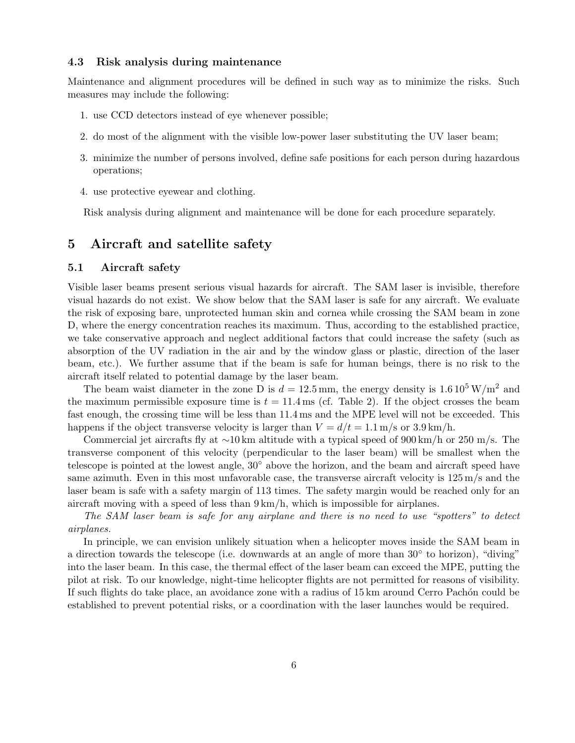#### 4.3 Risk analysis during maintenance

Maintenance and alignment procedures will be defined in such way as to minimize the risks. Such measures may include the following:

- 1. use CCD detectors instead of eye whenever possible;
- 2. do most of the alignment with the visible low-power laser substituting the UV laser beam;
- 3. minimize the number of persons involved, define safe positions for each person during hazardous operations;
- 4. use protective eyewear and clothing.

Risk analysis during alignment and maintenance will be done for each procedure separately.

# 5 Aircraft and satellite safety

## 5.1 Aircraft safety

Visible laser beams present serious visual hazards for aircraft. The SAM laser is invisible, therefore visual hazards do not exist. We show below that the SAM laser is safe for any aircraft. We evaluate the risk of exposing bare, unprotected human skin and cornea while crossing the SAM beam in zone D, where the energy concentration reaches its maximum. Thus, according to the established practice, we take conservative approach and neglect additional factors that could increase the safety (such as absorption of the UV radiation in the air and by the window glass or plastic, direction of the laser beam, etc.). We further assume that if the beam is safe for human beings, there is no risk to the aircraft itself related to potential damage by the laser beam.

The beam waist diameter in the zone D is  $d = 12.5$  mm, the energy density is  $1.6 \times 10^5$  W/m<sup>2</sup> and the maximum permissible exposure time is  $t = 11.4$  ms (cf. Table 2). If the object crosses the beam fast enough, the crossing time will be less than 11.4 ms and the MPE level will not be exceeded. This happens if the object transverse velocity is larger than  $V = d/t = 1.1$  m/s or 3.9 km/h.

Commercial jet aircrafts fly at ∼10 km altitude with a typical speed of 900 km/h or 250 m/s. The transverse component of this velocity (perpendicular to the laser beam) will be smallest when the telescope is pointed at the lowest angle, 30◦ above the horizon, and the beam and aircraft speed have same azimuth. Even in this most unfavorable case, the transverse aircraft velocity is 125 m/s and the laser beam is safe with a safety margin of 113 times. The safety margin would be reached only for an aircraft moving with a speed of less than  $9 \text{ km/h}$ , which is impossible for airplanes.

The SAM laser beam is safe for any airplane and there is no need to use "spotters" to detect airplanes.

In principle, we can envision unlikely situation when a helicopter moves inside the SAM beam in a direction towards the telescope (i.e. downwards at an angle of more than 30° to horizon), "diving" into the laser beam. In this case, the thermal effect of the laser beam can exceed the MPE, putting the pilot at risk. To our knowledge, night-time helicopter flights are not permitted for reasons of visibility. If such flights do take place, an avoidance zone with a radius of 15 km around Cerro Pachón could be established to prevent potential risks, or a coordination with the laser launches would be required.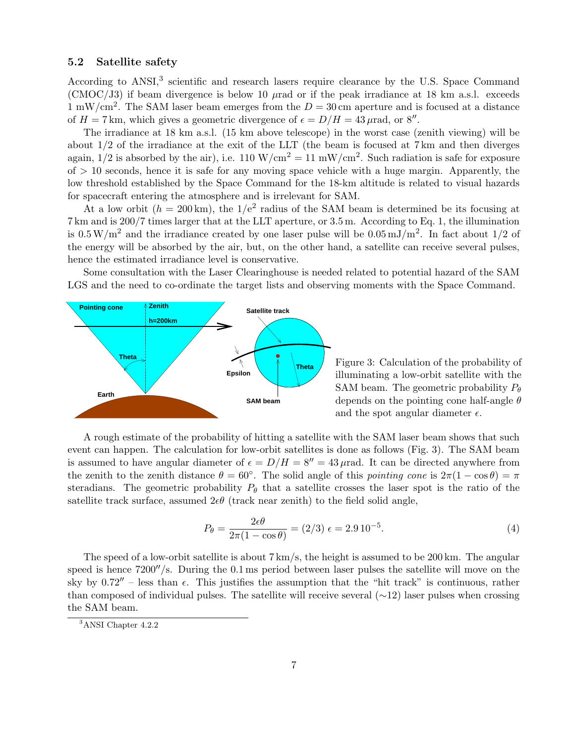### 5.2 Satellite safety

According to ANSI,<sup>3</sup> scientific and research lasers require clearance by the U.S. Space Command (CMOC/J3) if beam divergence is below 10  $\mu$ rad or if the peak irradiance at 18 km a.s.l. exceeds 1 mW/cm<sup>2</sup>. The SAM laser beam emerges from the  $D = 30$  cm aperture and is focused at a distance of  $H = 7$  km, which gives a geometric divergence of  $\epsilon = D/H = 43 \,\mu\text{rad}$ , or 8".

The irradiance at 18 km a.s.l. (15 km above telescope) in the worst case (zenith viewing) will be about 1/2 of the irradiance at the exit of the LLT (the beam is focused at 7 km and then diverges again,  $1/2$  is absorbed by the air), i.e.  $110 \text{ W/cm}^2 = 11 \text{ mW/cm}^2$ . Such radiation is safe for exposure  $of > 10$  seconds, hence it is safe for any moving space vehicle with a huge margin. Apparently, the low threshold established by the Space Command for the 18-km altitude is related to visual hazards for spacecraft entering the atmosphere and is irrelevant for SAM.

At a low orbit  $(h = 200 \text{ km})$ , the  $1/e^2$  radius of the SAM beam is determined be its focusing at 7 km and is 200/7 times larger that at the LLT aperture, or 3.5 m. According to Eq. 1, the illumination is  $0.5 \,\mathrm{W/m^2}$  and the irradiance created by one laser pulse will be  $0.05 \,\mathrm{mJ/m^2}$ . In fact about 1/2 of the energy will be absorbed by the air, but, on the other hand, a satellite can receive several pulses, hence the estimated irradiance level is conservative.

Some consultation with the Laser Clearinghouse is needed related to potential hazard of the SAM LGS and the need to co-ordinate the target lists and observing moments with the Space Command.



Figure 3: Calculation of the probability of illuminating a low-orbit satellite with the SAM beam. The geometric probability  $P_{\theta}$ depends on the pointing cone half-angle  $\theta$ and the spot angular diameter  $\epsilon$ .

A rough estimate of the probability of hitting a satellite with the SAM laser beam shows that such event can happen. The calculation for low-orbit satellites is done as follows (Fig. 3). The SAM beam is assumed to have angular diameter of  $\epsilon = D/H = 8'' = 43 \,\mu\text{rad}$ . It can be directed anywhere from the zenith to the zenith distance  $\theta = 60^\circ$ . The solid angle of this pointing cone is  $2\pi(1 - \cos \theta) = \pi$ steradians. The geometric probability  $P_{\theta}$  that a satellite crosses the laser spot is the ratio of the satellite track surface, assumed  $2e\theta$  (track near zenith) to the field solid angle,

$$
P_{\theta} = \frac{2\epsilon\theta}{2\pi(1 - \cos\theta)} = (2/3)\epsilon = 2.910^{-5}.
$$
 (4)

The speed of a low-orbit satellite is about 7 km/s, the height is assumed to be 200 km. The angular speed is hence  $7200''/s$ . During the 0.1 ms period between laser pulses the satellite will move on the sky by  $0.72''$  – less than  $\epsilon$ . This justifies the assumption that the "hit track" is continuous, rather than composed of individual pulses. The satellite will receive several  $(\sim 12)$  laser pulses when crossing the SAM beam.

<sup>3</sup>ANSI Chapter 4.2.2